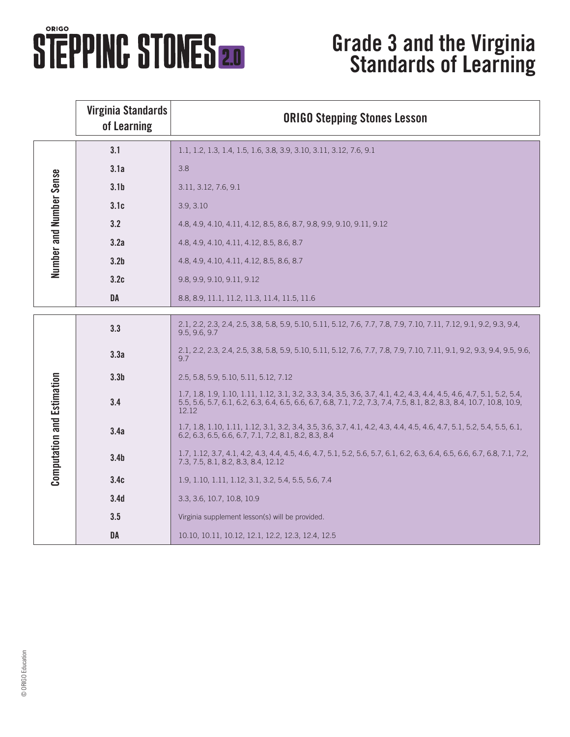## **STEPPING STONES 2.0**

## **Grade 3 and the Virginia Standards of Learning**

|                                   | <b>Virginia Standards</b><br>of Learning | <b>ORIGO Stepping Stones Lesson</b>                                                                                                                                                                                                                     |
|-----------------------------------|------------------------------------------|---------------------------------------------------------------------------------------------------------------------------------------------------------------------------------------------------------------------------------------------------------|
| Number and Number Sense           | 3.1                                      | 1.1, 1.2, 1.3, 1.4, 1.5, 1.6, 3.8, 3.9, 3.10, 3.11, 3.12, 7.6, 9.1                                                                                                                                                                                      |
|                                   | 3.1a                                     | 3.8                                                                                                                                                                                                                                                     |
|                                   | 3.1 <sub>b</sub>                         | 3.11, 3.12, 7.6, 9.1                                                                                                                                                                                                                                    |
|                                   | 3.1c                                     | 3.9, 3.10                                                                                                                                                                                                                                               |
|                                   | 3.2                                      | 4.8, 4.9, 4.10, 4.11, 4.12, 8.5, 8.6, 8.7, 9.8, 9.9, 9.10, 9.11, 9.12                                                                                                                                                                                   |
|                                   | 3.2a                                     | 4.8, 4.9, 4.10, 4.11, 4.12, 8.5, 8.6, 8.7                                                                                                                                                                                                               |
|                                   | 3.2 <sub>b</sub>                         | 4.8, 4.9, 4.10, 4.11, 4.12, 8.5, 8.6, 8.7                                                                                                                                                                                                               |
|                                   | 3.2c                                     | 9.8, 9.9, 9.10, 9.11, 9.12                                                                                                                                                                                                                              |
|                                   | DA                                       | 8.8, 8.9, 11.1, 11.2, 11.3, 11.4, 11.5, 11.6                                                                                                                                                                                                            |
| <b>Computation and Estimation</b> | 3.3                                      | 2.1, 2.2, 2.3, 2.4, 2.5, 3.8, 5.8, 5.9, 5.10, 5.11, 5.12, 7.6, 7.7, 7.8, 7.9, 7.10, 7.11, 7.12, 9.1, 9.2, 9.3, 9.4,<br>9.5, 9.6, 9.7                                                                                                                    |
|                                   | 3.3a                                     | 2.1, 2.2, 2.3, 2.4, 2.5, 3.8, 5.8, 5.9, 5.10, 5.11, 5.12, 7.6, 7.7, 7.8, 7.9, 7.10, 7.11, 9.1, 9.2, 9.3, 9.4, 9.5, 9.6,<br>97                                                                                                                           |
|                                   | 3.3 <sub>b</sub>                         | 2.5, 5.8, 5.9, 5.10, 5.11, 5.12, 7.12                                                                                                                                                                                                                   |
|                                   | 3.4                                      | 1.7, 1.8, 1.9, 1.10, 1.11, 1.12, 3.1, 3.2, 3.3, 3.4, 3.5, 3.6, 3.7, 4.1, 4.2, 4.3, 4.4, 4.5, 4.6, 4.7, 5.1, 5.2, 5.4,<br>5.5, 5.6, 5.7, 6.1, 6.2, 6.3, 6.4, 6.5, 6.6, 6.7, 6.8, 7.1, 7.2, 7.3, 7.4, 7.5, 8.1, 8.2, 8.3, 8.4, 10.7, 10.8, 10.9,<br>12.12 |
|                                   | 3.4a                                     | 1.7, 1.8, 1.10, 1.11, 1.12, 3.1, 3.2, 3.4, 3.5, 3.6, 3.7, 4.1, 4.2, 4.3, 4.4, 4.5, 4.6, 4.7, 5.1, 5.2, 5.4, 5.5, 6.1,<br>6.2, 6.3, 6.5, 6.6, 6.7, 7.1, 7.2, 8.1, 8.2, 8.3, 8.4                                                                          |
|                                   | 3.4 <sub>b</sub>                         | 1.7, 1.12, 3.7, 4.1, 4.2, 4.3, 4.4, 4.5, 4.6, 4.7, 5.1, 5.2, 5.6, 5.7, 6.1, 6.2, 6.3, 6.4, 6.5, 6.6, 6.7, 6.8, 7.1, 7.2,<br>7.3, 7.5, 8.1, 8.2, 8.3, 8.4, 12.12                                                                                         |
|                                   | 3.4c                                     | 1.9, 1.10, 1.11, 1.12, 3.1, 3.2, 5.4, 5.5, 5.6, 7.4                                                                                                                                                                                                     |
|                                   | 3.4 <sub>d</sub>                         | 3.3, 3.6, 10.7, 10.8, 10.9                                                                                                                                                                                                                              |
|                                   | 3.5                                      | Virginia supplement lesson(s) will be provided.                                                                                                                                                                                                         |
|                                   | DA                                       | 10.10, 10.11, 10.12, 12.1, 12.2, 12.3, 12.4, 12.5                                                                                                                                                                                                       |